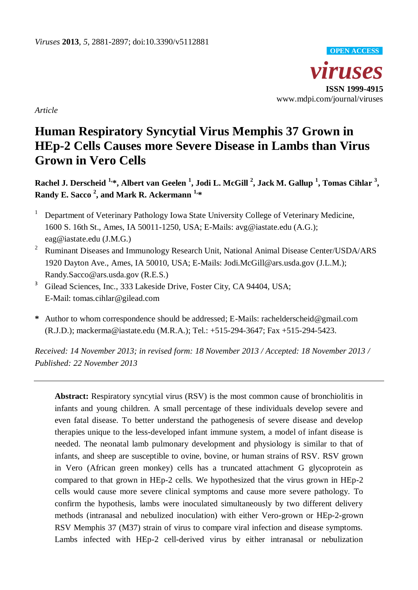

*Article*

# **Human Respiratory Syncytial Virus Memphis 37 Grown in HEp-2 Cells Causes more Severe Disease in Lambs than Virus Grown in Vero Cells**

**Rachel J. Derscheid 1, \*, Albert van Geelen <sup>1</sup> , Jodi L. McGill <sup>2</sup> , Jack M. Gallup <sup>1</sup> , Tomas Cihlar <sup>3</sup> , Randy E. Sacco <sup>2</sup> , and Mark R. Ackermann 1, \***

- <sup>1</sup> Department of Veterinary Pathology Iowa State University College of Veterinary Medicine, 1600 S. 16th St., Ames, IA 50011-1250, USA; E-Mails: avg@iastate.edu (A.G.); eag@iastate.edu (J.M.G.)
- <sup>2</sup> Ruminant Diseases and Immunology Research Unit, National Animal Disease Center/USDA/ARS 1920 Dayton Ave., Ames, IA 50010, USA; E-Mails: Jodi.McGill@ars.usda.gov (J.L.M.); Randy.Sacco@ars.usda.gov (R.E.S.)
- <sup>3</sup> Gilead Sciences, Inc., 333 Lakeside Drive, Foster City, CA 94404, USA; E-Mail: tomas*.*cihlar*@*gilead.com
- **\*** Author to whom correspondence should be addressed; E-Mails: rachelderscheid@gmail.com (R.J.D.); mackerma@iastate.edu (M.R.A.); Tel.: +515-294-3647; Fax +515-294-5423.

*Received: 14 November 2013; in revised form: 18 November 2013 / Accepted: 18 November 2013 / Published: 22 November 2013*

**Abstract:** Respiratory syncytial virus (RSV) is the most common cause of bronchiolitis in infants and young children. A small percentage of these individuals develop severe and even fatal disease. To better understand the pathogenesis of severe disease and develop therapies unique to the less-developed infant immune system, a model of infant disease is needed. The neonatal lamb pulmonary development and physiology is similar to that of infants, and sheep are susceptible to ovine, bovine, or human strains of RSV. RSV grown in Vero (African green monkey) cells has a truncated attachment G glycoprotein as compared to that grown in HEp-2 cells. We hypothesized that the virus grown in HEp-2 cells would cause more severe clinical symptoms and cause more severe pathology. To confirm the hypothesis, lambs were inoculated simultaneously by two different delivery methods (intranasal and nebulized inoculation) with either Vero-grown or HEp-2-grown RSV Memphis 37 (M37) strain of virus to compare viral infection and disease symptoms. Lambs infected with HEp-2 cell-derived virus by either intranasal or nebulization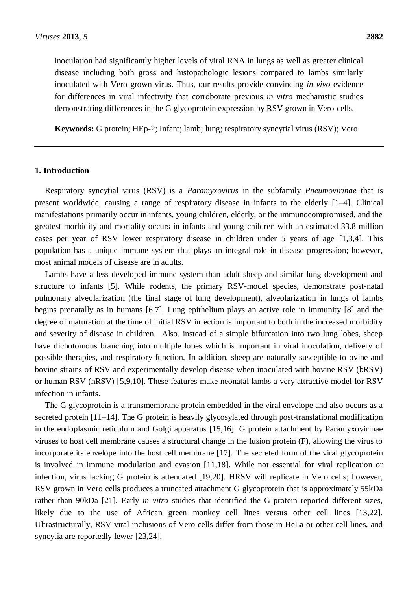inoculation had significantly higher levels of viral RNA in lungs as well as greater clinical disease including both gross and histopathologic lesions compared to lambs similarly inoculated with Vero-grown virus. Thus, our results provide convincing *in vivo* evidence for differences in viral infectivity that corroborate previous *in vitro* mechanistic studies demonstrating differences in the G glycoprotein expression by RSV grown in Vero cells.

**Keywords:** G protein; HEp-2; Infant; lamb; lung; respiratory syncytial virus (RSV); Vero

## **1. Introduction**

Respiratory syncytial virus (RSV) is a *Paramyxovirus* in the subfamily *Pneumovirinae* that is present worldwide, causing a range of respiratory disease in infants to the elderly [1–4]. Clinical manifestations primarily occur in infants, young children, elderly, or the immunocompromised, and the greatest morbidity and mortality occurs in infants and young children with an estimated 33.8 million cases per year of RSV lower respiratory disease in children under 5 years of age [1,3,4]. This population has a unique immune system that plays an integral role in disease progression; however, most animal models of disease are in adults.

Lambs have a less-developed immune system than adult sheep and similar lung development and structure to infants [5]. While rodents, the primary RSV-model species, demonstrate post-natal pulmonary alveolarization (the final stage of lung development), alveolarization in lungs of lambs begins prenatally as in humans [6,7]. Lung epithelium plays an active role in immunity [8] and the degree of maturation at the time of initial RSV infection is important to both in the increased morbidity and severity of disease in children. Also, instead of a simple bifurcation into two lung lobes, sheep have dichotomous branching into multiple lobes which is important in viral inoculation, delivery of possible therapies, and respiratory function. In addition, sheep are naturally susceptible to ovine and bovine strains of RSV and experimentally develop disease when inoculated with bovine RSV (bRSV) or human RSV (hRSV) [5,9,10]. These features make neonatal lambs a very attractive model for RSV infection in infants.

The G glycoprotein is a transmembrane protein embedded in the viral envelope and also occurs as a secreted protein [11–14]. The G protein is heavily glycosylated through post-translational modification in the endoplasmic reticulum and Golgi apparatus [15,16]. G protein attachment by Paramyxovirinae viruses to host cell membrane causes a structural change in the fusion protein (F), allowing the virus to incorporate its envelope into the host cell membrane [17]. The secreted form of the viral glycoprotein is involved in immune modulation and evasion [11,18]. While not essential for viral replication or infection, virus lacking G protein is attenuated [19,20]. HRSV will replicate in Vero cells; however, RSV grown in Vero cells produces a truncated attachment G glycoprotein that is approximately 55kDa rather than 90kDa [21]. Early *in vitro* studies that identified the G protein reported different sizes, likely due to the use of African green monkey cell lines versus other cell lines [13,22]. Ultrastructurally, RSV viral inclusions of Vero cells differ from those in HeLa or other cell lines, and syncytia are reportedly fewer [23,24].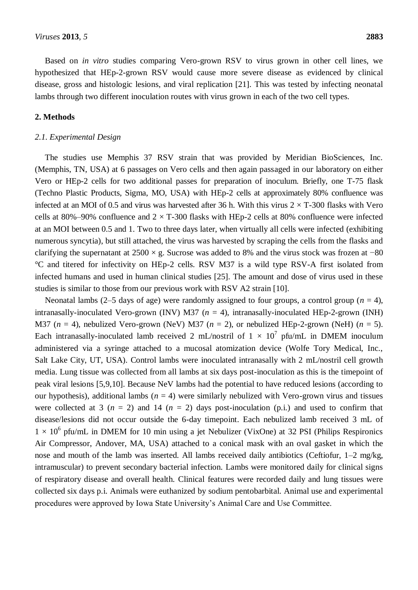Based on *in vitro* studies comparing Vero-grown RSV to virus grown in other cell lines, we hypothesized that HEp-2-grown RSV would cause more severe disease as evidenced by clinical disease, gross and histologic lesions, and viral replication [21]. This was tested by infecting neonatal lambs through two different inoculation routes with virus grown in each of the two cell types.

#### **2. Methods**

#### *2.1. Experimental Design*

The studies use Memphis 37 RSV strain that was provided by Meridian BioSciences, Inc. (Memphis, TN, USA) at 6 passages on Vero cells and then again passaged in our laboratory on either Vero or HEp-2 cells for two additional passes for preparation of inoculum. Briefly, one T-75 flask (Techno Plastic Products, Sigma, MO, USA) with HEp-2 cells at approximately 80% confluence was infected at an MOI of 0.5 and virus was harvested after 36 h. With this virus  $2 \times T$ -300 flasks with Vero cells at 80%–90% confluence and  $2 \times T$ -300 flasks with HEp-2 cells at 80% confluence were infected at an MOI between 0.5 and 1. Two to three days later, when virtually all cells were infected (exhibiting numerous syncytia), but still attached, the virus was harvested by scraping the cells from the flasks and clarifying the supernatant at  $2500 \times g$ . Sucrose was added to 8% and the virus stock was frozen at −80 °C and titered for infectivity on HEp-2 cells. RSV M37 is a wild type RSV-A first isolated from infected humans and used in human clinical studies [25]. The amount and dose of virus used in these studies is similar to those from our previous work with RSV A2 strain [10].

Neonatal lambs (2–5 days of age) were randomly assigned to four groups, a control group ( $n = 4$ ), intranasally-inoculated Vero-grown (INV) M37 (*n* = 4), intranasally-inoculated HEp-2-grown (INH) M37 ( $n = 4$ ), nebulized Vero-grown (NeV) M37 ( $n = 2$ ), or nebulized HEp-2-grown (NeH) ( $n = 5$ ). Each intranasally-inoculated lamb received 2 mL/nostril of  $1 \times 10^7$  pfu/mL in DMEM inoculum administered via a syringe attached to a mucosal atomization device (Wolfe Tory Medical, Inc., Salt Lake City, UT, USA). Control lambs were inoculated intranasally with 2 mL/nostril cell growth media. Lung tissue was collected from all lambs at six days post-inoculation as this is the timepoint of peak viral lesions [5,9,10]. Because NeV lambs had the potential to have reduced lesions (according to our hypothesis), additional lambs  $(n = 4)$  were similarly nebulized with Vero-grown virus and tissues were collected at 3  $(n = 2)$  and 14  $(n = 2)$  days post-inoculation  $(p,i)$  and used to confirm that disease/lesions did not occur outside the 6-day timepoint. Each nebulized lamb received 3 mL of  $1 \times 10^6$  pfu/mL in DMEM for 10 min using a jet Nebulizer (VixOne) at 32 PSI (Philips Respironics Air Compressor, Andover, MA, USA) attached to a conical mask with an oval gasket in which the nose and mouth of the lamb was inserted. All lambs received daily antibiotics (Ceftiofur, 1–2 mg/kg, intramuscular) to prevent secondary bacterial infection. Lambs were monitored daily for clinical signs of respiratory disease and overall health. Clinical features were recorded daily and lung tissues were collected six days p.i. Animals were euthanized by sodium pentobarbital. Animal use and experimental procedures were approved by Iowa State University's Animal Care and Use Committee.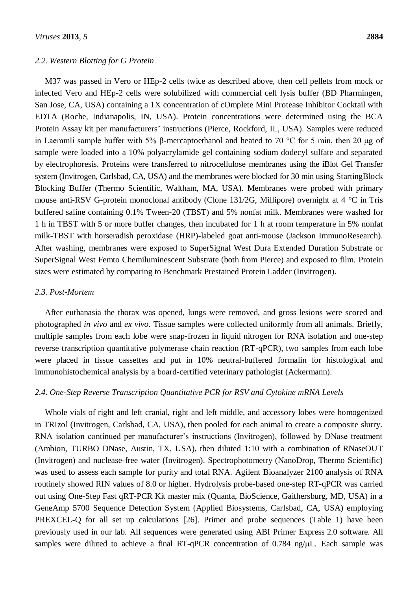#### *2.2. Western Blotting for G Protein*

M37 was passed in Vero or HEp-2 cells twice as described above, then cell pellets from mock or infected Vero and HEp-2 cells were solubilized with commercial cell lysis buffer (BD Pharmingen, San Jose, CA, USA) containing a 1X concentration of cOmplete Mini Protease Inhibitor Cocktail with EDTA (Roche, Indianapolis, IN, USA). Protein concentrations were determined using the BCA Protein Assay kit per manufacturers' instructions (Pierce, Rockford, IL, USA). Samples were reduced in Laemmli sample buffer with 5% β-mercaptoethanol and heated to 70 °C for 5 min, then 20 μg of sample were loaded into a 10% polyacrylamide gel containing sodium dodecyl sulfate and separated by electrophoresis. Proteins were transferred to nitrocellulose membranes using the iBlot Gel Transfer system (Invitrogen, Carlsbad, CA, USA) and the membranes were blocked for 30 min using StartingBlock Blocking Buffer (Thermo Scientific, Waltham, MA, USA). Membranes were probed with primary mouse anti-RSV G-protein monoclonal antibody (Clone 131/2G, Millipore) overnight at 4 °C in Tris buffered saline containing 0.1% Tween-20 (TBST) and 5% nonfat milk. Membranes were washed for 1 h in TBST with 5 or more buffer changes, then incubated for 1 h at room temperature in 5% nonfat milk-TBST with horseradish peroxidase (HRP)-labeled goat anti-mouse (Jackson ImmunoResearch). After washing, membranes were exposed to SuperSignal West Dura Extended Duration Substrate or SuperSignal West Femto Chemiluminescent Substrate (both from Pierce) and exposed to film. Protein sizes were estimated by comparing to Benchmark Prestained Protein Ladder (Invitrogen).

## *2.3. Post-Mortem*

After euthanasia the thorax was opened, lungs were removed, and gross lesions were scored and photographed *in vivo* and *ex vivo*. Tissue samples were collected uniformly from all animals. Briefly, multiple samples from each lobe were snap-frozen in liquid nitrogen for RNA isolation and one-step reverse transcription quantitative polymerase chain reaction (RT-qPCR), two samples from each lobe were placed in tissue cassettes and put in 10% neutral-buffered formalin for histological and immunohistochemical analysis by a board-certified veterinary pathologist (Ackermann).

## *2.4. One-Step Reverse Transcription Quantitative PCR for RSV and Cytokine mRNA Levels*

Whole vials of right and left cranial, right and left middle, and accessory lobes were homogenized in TRIzol (Invitrogen, Carlsbad, CA, USA), then pooled for each animal to create a composite slurry. RNA isolation continued per manufacturer's instructions (Invitrogen), followed by DNase treatment (Ambion, TURBO DNase, Austin, TX, USA), then diluted 1:10 with a combination of RNaseOUT (Invitrogen) and nuclease-free water (Invitrogen). Spectrophotometry (NanoDrop, Thermo Scientific) was used to assess each sample for purity and total RNA. Agilent Bioanalyzer 2100 analysis of RNA routinely showed RIN values of 8.0 or higher. Hydrolysis probe-based one-step RT-qPCR was carried out using One-Step Fast qRT-PCR Kit master mix (Quanta, BioScience, Gaithersburg, MD, USA) in a GeneAmp 5700 Sequence Detection System (Applied Biosystems, Carlsbad, CA, USA) employing PREXCEL-Q for all set up calculations [26]. Primer and probe sequences (Table 1) have been previously used in our lab. All sequences were generated using ABI Primer Express 2.0 software. All samples were diluted to achieve a final RT-qPCR concentration of  $0.784$  ng/ $\mu$ L. Each sample was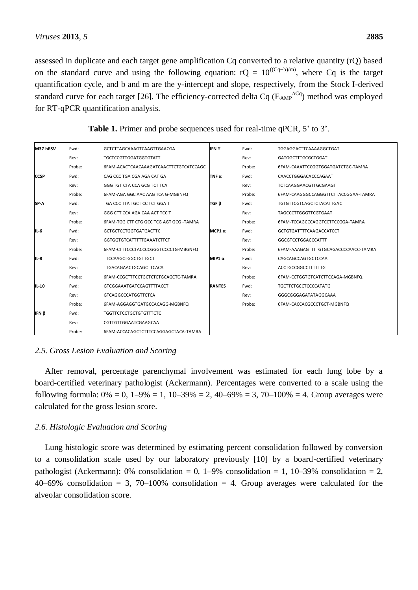assessed in duplicate and each target gene amplification Cq converted to a relative quantity (rQ) based on the standard curve and using the following equation:  $rQ = 10^{((Cq-b)/m)}$ , where Cq is the target quantification cycle, and b and m are the y-intercept and slope, respectively, from the Stock I-derived standard curve for each target [26]. The efficiency-corrected delta Cq ( $E_{AMP}^{\,\,\,\,\,\,\,\,\Delta Cq}$ ) method was employed for RT-qPCR quantification analysis.

| M37 hRSV    | Fwd:   | GCTCTTAGCAAAGTCAAGTTGAACGA              | <b>IFNY</b>   | Fwd:   | TGGAGGACTTCAAAAGGCTGAT               |
|-------------|--------|-----------------------------------------|---------------|--------|--------------------------------------|
|             | Rev:   | <b>TGCTCCGTTGGATGGTGTATT</b>            |               | Rev:   | GATGGCTTTGCGCTGGAT                   |
|             | Probe: | 6FAM-ACACTCAACAAAGATCAACTTCTGTCATCCAGC  |               | Probe: | 6FAM-CAAATTCCGGTGGATGATCTGC-TAMRA    |
| <b>CCSP</b> | Fwd:   | CAG CCC TGA CGA AGA CAT GA              | TNF $\alpha$  | Fwd:   | CAACCTGGGACACCCAGAAT                 |
|             | Rev:   | GGG TGT CTA CCA GCG TCT TCA             |               | Rev:   | TCTCAAGGAACGTTGCGAAGT                |
|             | Probe: | 6FAM-AGA GGC AAC AAG TCA G-MGBNFQ       |               | Probe: | 6FAM-CAAGGGCCAGGGTTCTTACCGGAA-TAMRA  |
| SP-A        | Fwd:   | TGA CCC TTA TGC TCC TCT GGA T           | TGF ß         | Fwd:   | <b>TGTGTTCGTCAGCTCTACATTGAC</b>      |
|             | Rev:   | GGG CTT CCA AGA CAA ACT TCC T           |               | Rev:   | TAGCCCTTGGGTTCGTGAAT                 |
|             | Probe: | 6FAM-TGG CTT CTG GCC TCG AGT GCG -TAMRA |               | Probe: | 6FAM-TCCAGCCCAGGTCCTTCCGGA-TAMRA     |
| IL-6        | Fwd:   | <b>GCTGCTCCTGGTGATGACTTC</b>            | MCP1 $\alpha$ | Fwd:   | <b>GCTGTGATTTTCAAGACCATCCT</b>       |
|             | Rev:   | <b>GGTGGTGTCATTTTTGAAATCTTCT</b>        |               | Rev:   | <b>GGCGTCCTGGACCCATTT</b>            |
|             | Probe: | 6FAM-CTTTCCCTACCCCGGGTCCCCTG-MBGNFQ     |               | Probe: | 6FAM-AAAGAGTTTTGTGCAGACCCCAACC-TAMRA |
| IL-8        | Fwd:   | <b>TTCCAAGCTGGCTGTTGCT</b>              | <b>MIP1</b> α | Fwd:   | CAGCAGCCAGTGCTCCAA                   |
|             | Rev:   | TTGACAGAACTGCAGCTTCACA                  |               | Rev:   | <b>ACCTGCCGGCCTTTTTTG</b>            |
|             | Probe: | 6FAM-CCGCTTTCCTGCTCTCTGCAGCTC-TAMRA     |               | Probe: | 6FAM-CCTGGTGTCATCTTCCAGA-MGBNFQ      |
| IL-10       | Fwd:   | <b>GTCGGAAATGATCCAGTTTTACCT</b>         | <b>RANTES</b> | Fwd:   | TGCTTCTGCCTCCCCATATG                 |
|             | Rev:   | <b>GTCAGGCCCATGGTTCTCA</b>              |               | Rev:   | GGGCGGGAGATATAGGCAAA                 |
|             | Probe: | 6FAM-AGGAGGTGATGCCACAGG-MGBNFQ          |               | Probe: | 6FAM-CACCACGCCCTGCT-MGBNFQ           |
| IFN β       | Fwd:   | <b>TGGTTCTCCTGCTGTGTTTCTC</b>           |               |        |                                      |
|             | Rev:   | CGTTGTTGGAATCGAAGCAA                    |               |        |                                      |
|             | Probe: | 6FAM-ACCACAGCTCTTTCCAGGAGCTACA-TAMRA    |               |        |                                      |

**Table 1.** Primer and probe sequences used for real-time qPCR, 5' to 3'.

# *2.5. Gross Lesion Evaluation and Scoring*

After removal, percentage parenchymal involvement was estimated for each lung lobe by a board-certified veterinary pathologist (Ackermann). Percentages were converted to a scale using the following formula:  $0\% = 0$ ,  $1-9\% = 1$ ,  $10-39\% = 2$ ,  $40-69\% = 3$ ,  $70-100\% = 4$ . Group averages were calculated for the gross lesion score.

## *2.6. Histologic Evaluation and Scoring*

Lung histologic score was determined by estimating percent consolidation followed by conversion to a consolidation scale used by our laboratory previously [10] by a board-certified veterinary pathologist (Ackermann): 0% consolidation = 0, 1–9% consolidation = 1, 10–39% consolidation = 2, 40–69% consolidation = 3, 70–100% consolidation = 4. Group averages were calculated for the alveolar consolidation score.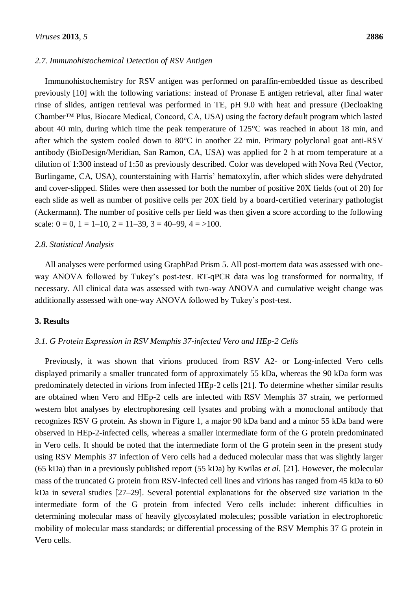#### *2.7. Immunohistochemical Detection of RSV Antigen*

Immunohistochemistry for RSV antigen was performed on paraffin-embedded tissue as described previously [10] with the following variations: instead of Pronase E antigen retrieval, after final water rinse of slides, antigen retrieval was performed in TE, pH 9.0 with heat and pressure (Decloaking Chamber™ Plus, Biocare Medical, Concord, CA, USA) using the factory default program which lasted about 40 min, during which time the peak temperature of 125°C was reached in about 18 min, and after which the system cooled down to 80°C in another 22 min. Primary polyclonal goat anti-RSV antibody (BioDesign/Meridian, San Ramon, CA, USA) was applied for 2 h at room temperature at a dilution of 1:300 instead of 1:50 as previously described. Color was developed with Nova Red (Vector, Burlingame, CA, USA), counterstaining with Harris' hematoxylin, after which slides were dehydrated and cover-slipped. Slides were then assessed for both the number of positive 20X fields (out of 20) for each slide as well as number of positive cells per 20X field by a board-certified veterinary pathologist (Ackermann). The number of positive cells per field was then given a score according to the following scale:  $0 = 0$ ,  $1 = 1-10$ ,  $2 = 11-39$ ,  $3 = 40-99$ ,  $4 = >100$ .

## *2.8. Statistical Analysis*

All analyses were performed using GraphPad Prism 5. All post-mortem data was assessed with oneway ANOVA followed by Tukey's post-test. RT-qPCR data was log transformed for normality, if necessary. All clinical data was assessed with two-way ANOVA and cumulative weight change was additionally assessed with one-way ANOVA followed by Tukey's post-test.

## **3. Results**

#### *3.1. G Protein Expression in RSV Memphis 37-infected Vero and HEp-2 Cells*

Previously, it was shown that virions produced from RSV A2- or Long-infected Vero cells displayed primarily a smaller truncated form of approximately 55 kDa, whereas the 90 kDa form was predominately detected in virions from infected HEp-2 cells [21]. To determine whether similar results are obtained when Vero and HEp-2 cells are infected with RSV Memphis 37 strain, we performed western blot analyses by electrophoresing cell lysates and probing with a monoclonal antibody that recognizes RSV G protein. As shown in Figure 1, a major 90 kDa band and a minor 55 kDa band were observed in HEp-2-infected cells, whereas a smaller intermediate form of the G protein predominated in Vero cells. It should be noted that the intermediate form of the G protein seen in the present study using RSV Memphis 37 infection of Vero cells had a deduced molecular mass that was slightly larger (65 kDa) than in a previously published report (55 kDa) by Kwilas *et al.* [21]. However, the molecular mass of the truncated G protein from RSV-infected cell lines and virions has ranged from 45 kDa to 60 kDa in several studies [27–29]. Several potential explanations for the observed size variation in the intermediate form of the G protein from infected Vero cells include: inherent difficulties in determining molecular mass of heavily glycosylated molecules; possible variation in electrophoretic mobility of molecular mass standards; or differential processing of the RSV Memphis 37 G protein in Vero cells.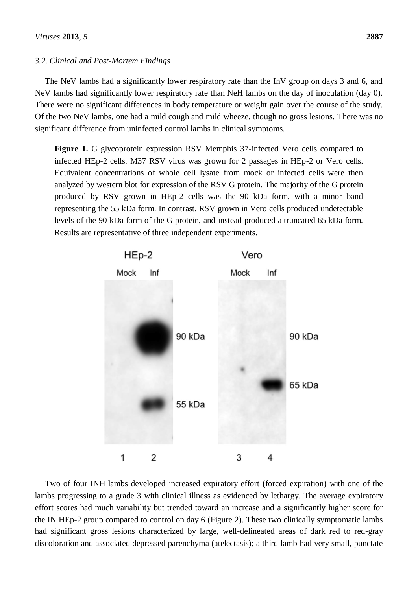#### *3.2. Clinical and Post-Mortem Findings*

The NeV lambs had a significantly lower respiratory rate than the InV group on days 3 and 6, and NeV lambs had significantly lower respiratory rate than NeH lambs on the day of inoculation (day 0). There were no significant differences in body temperature or weight gain over the course of the study. Of the two NeV lambs, one had a mild cough and mild wheeze, though no gross lesions. There was no significant difference from uninfected control lambs in clinical symptoms.

**Figure 1.** G glycoprotein expression RSV Memphis 37-infected Vero cells compared to infected HEp-2 cells. M37 RSV virus was grown for 2 passages in HEp-2 or Vero cells. Equivalent concentrations of whole cell lysate from mock or infected cells were then analyzed by western blot for expression of the RSV G protein. The majority of the G protein produced by RSV grown in HEp-2 cells was the 90 kDa form, with a minor band representing the 55 kDa form. In contrast, RSV grown in Vero cells produced undetectable levels of the 90 kDa form of the G protein, and instead produced a truncated 65 kDa form. Results are representative of three independent experiments.



Two of four INH lambs developed increased expiratory effort (forced expiration) with one of the lambs progressing to a grade 3 with clinical illness as evidenced by lethargy. The average expiratory effort scores had much variability but trended toward an increase and a significantly higher score for the IN HEp-2 group compared to control on day 6 (Figure 2). These two clinically symptomatic lambs had significant gross lesions characterized by large, well-delineated areas of dark red to red-gray discoloration and associated depressed parenchyma (atelectasis); a third lamb had very small, punctate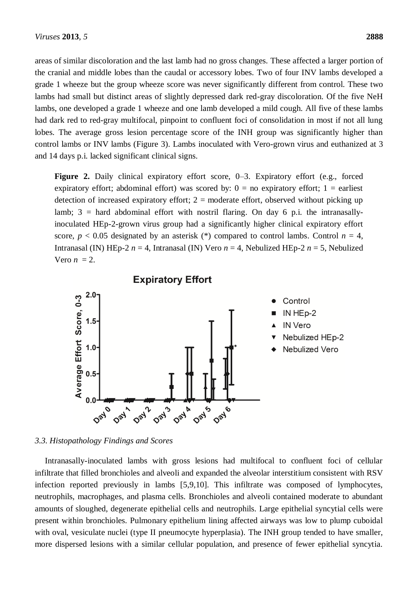areas of similar discoloration and the last lamb had no gross changes. These affected a larger portion of the cranial and middle lobes than the caudal or accessory lobes. Two of four INV lambs developed a grade 1 wheeze but the group wheeze score was never significantly different from control. These two lambs had small but distinct areas of slightly depressed dark red-gray discoloration. Of the five NeH lambs, one developed a grade 1 wheeze and one lamb developed a mild cough. All five of these lambs had dark red to red-gray multifocal, pinpoint to confluent foci of consolidation in most if not all lung lobes. The average gross lesion percentage score of the INH group was significantly higher than control lambs or INV lambs (Figure 3). Lambs inoculated with Vero-grown virus and euthanized at 3 and 14 days p.i. lacked significant clinical signs.

**Figure 2.** Daily clinical expiratory effort score, 0–3. Expiratory effort (e.g., forced expiratory effort; abdominal effort) was scored by:  $0 =$  no expiratory effort;  $1 =$  earliest detection of increased expiratory effort;  $2 =$  moderate effort, observed without picking up lamb;  $3 =$  hard abdominal effort with nostril flaring. On day 6 p.i. the intranasallyinoculated HEp-2-grown virus group had a significantly higher clinical expiratory effort score,  $p < 0.05$  designated by an asterisk (\*) compared to control lambs. Control  $n = 4$ , Intranasal (IN) HEp-2 *n* = 4, Intranasal (IN) Vero *n* = 4, Nebulized HEp-2 *n* = 5, Nebulized Vero  $n = 2$ .



#### *3.3. Histopathology Findings and Scores*

Intranasally-inoculated lambs with gross lesions had multifocal to confluent foci of cellular infiltrate that filled bronchioles and alveoli and expanded the alveolar interstitium consistent with RSV infection reported previously in lambs [5,9,10]. This infiltrate was composed of lymphocytes, neutrophils, macrophages, and plasma cells. Bronchioles and alveoli contained moderate to abundant amounts of sloughed, degenerate epithelial cells and neutrophils. Large epithelial syncytial cells were present within bronchioles. Pulmonary epithelium lining affected airways was low to plump cuboidal with oval, vesiculate nuclei (type II pneumocyte hyperplasia). The INH group tended to have smaller, more dispersed lesions with a similar cellular population, and presence of fewer epithelial syncytia.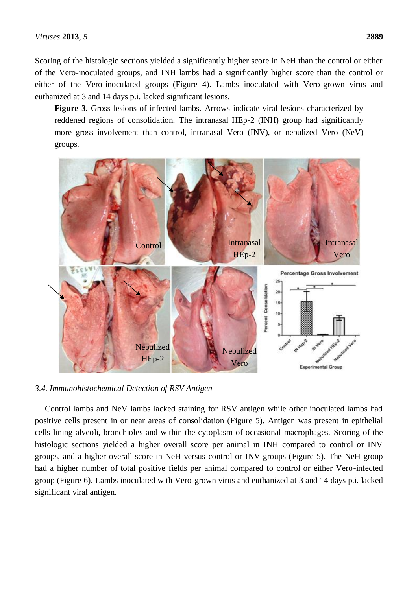Scoring of the histologic sections yielded a significantly higher score in NeH than the control or either of the Vero-inoculated groups, and INH lambs had a significantly higher score than the control or either of the Vero-inoculated groups (Figure 4). Lambs inoculated with Vero-grown virus and euthanized at 3 and 14 days p.i. lacked significant lesions.

**Figure 3.** Gross lesions of infected lambs. Arrows indicate viral lesions characterized by reddened regions of consolidation. The intranasal HEp-2 (INH) group had significantly more gross involvement than control, intranasal Vero (INV), or nebulized Vero (NeV) groups.



*3.4. Immunohistochemical Detection of RSV Antigen*

Control lambs and NeV lambs lacked staining for RSV antigen while other inoculated lambs had positive cells present in or near areas of consolidation (Figure 5). Antigen was present in epithelial cells lining alveoli, bronchioles and within the cytoplasm of occasional macrophages. Scoring of the histologic sections yielded a higher overall score per animal in INH compared to control or INV groups, and a higher overall score in NeH versus control or INV groups (Figure 5). The NeH group had a higher number of total positive fields per animal compared to control or either Vero-infected group (Figure 6). Lambs inoculated with Vero-grown virus and euthanized at 3 and 14 days p.i. lacked significant viral antigen.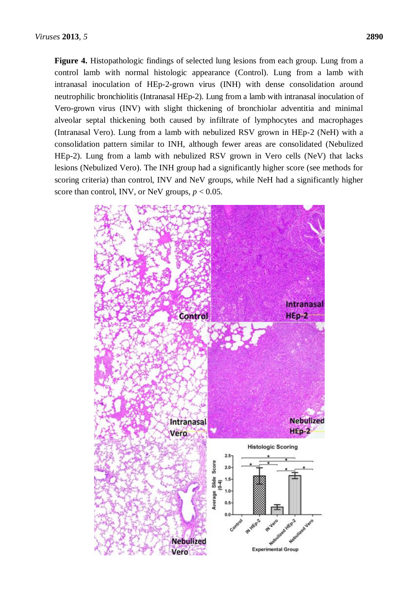**Figure 4.** Histopathologic findings of selected lung lesions from each group. Lung from a control lamb with normal histologic appearance (Control). Lung from a lamb with intranasal inoculation of HEp-2-grown virus (INH) with dense consolidation around neutrophilic bronchiolitis (Intranasal HEp-2). Lung from a lamb with intranasal inoculation of Vero-grown virus (INV) with slight thickening of bronchiolar adventitia and minimal alveolar septal thickening both caused by infiltrate of lymphocytes and macrophages (Intranasal Vero). Lung from a lamb with nebulized RSV grown in HEp-2 (NeH) with a consolidation pattern similar to INH, although fewer areas are consolidated (Nebulized HEp-2). Lung from a lamb with nebulized RSV grown in Vero cells (NeV) that lacks lesions (Nebulized Vero). The INH group had a significantly higher score (see methods for scoring criteria) than control, INV and NeV groups, while NeH had a significantly higher score than control, INV, or NeV groups,  $p < 0.05$ .

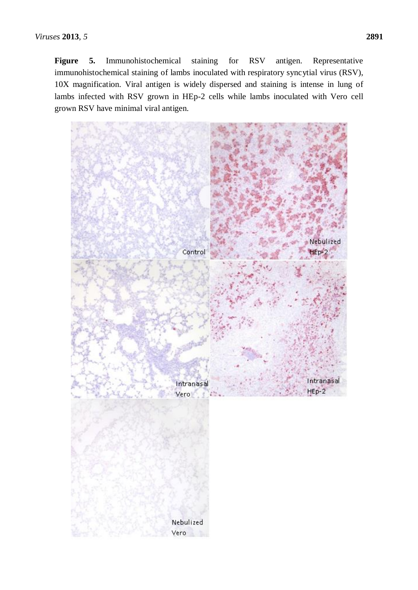**Figure 5.** Immunohistochemical staining for RSV antigen. Representative immunohistochemical staining of lambs inoculated with respiratory syncytial virus (RSV), 10X magnification. Viral antigen is widely dispersed and staining is intense in lung of lambs infected with RSV grown in HEp-2 cells while lambs inoculated with Vero cell grown RSV have minimal viral antigen.

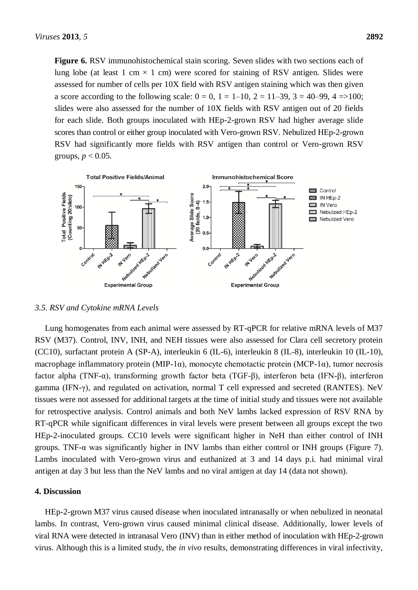**Figure 6.** RSV immunohistochemical stain scoring. Seven slides with two sections each of lung lobe (at least 1 cm  $\times$  1 cm) were scored for staining of RSV antigen. Slides were assessed for number of cells per 10X field with RSV antigen staining which was then given a score according to the following scale:  $0 = 0$ ,  $1 = 1{\text -}10$ ,  $2 = 11{\text -}39$ ,  $3 = 40{\text -}99$ ,  $4 = >100$ ; slides were also assessed for the number of 10X fields with RSV antigen out of 20 fields for each slide. Both groups inoculated with HEp-2-grown RSV had higher average slide scores than control or either group inoculated with Vero-grown RSV. Nebulized HEp-2-grown RSV had significantly more fields with RSV antigen than control or Vero-grown RSV groups,  $p < 0.05$ .



*3.5. RSV and Cytokine mRNA Levels*

Lung homogenates from each animal were assessed by RT-qPCR for relative mRNA levels of M37 RSV (M37). Control, INV, INH, and NEH tissues were also assessed for Clara cell secretory protein (CC10), surfactant protein A (SP-A), interleukin 6 (IL-6), interleukin 8 (IL-8), interleukin 10 (IL-10), macrophage inflammatory protein (MIP-1α), monocyte chemotactic protein (MCP-1α), tumor necrosis factor alpha (TNF-α), transforming growth factor beta (TGF-β), interferon beta (IFN-β), interferon gamma (IFN-γ), and regulated on activation, normal T cell expressed and secreted (RANTES). NeV tissues were not assessed for additional targets at the time of initial study and tissues were not available for retrospective analysis. Control animals and both NeV lambs lacked expression of RSV RNA by RT-qPCR while significant differences in viral levels were present between all groups except the two HEp-2-inoculated groups. CC10 levels were significant higher in NeH than either control of INH groups. TNF-α was significantly higher in INV lambs than either control or INH groups (Figure 7). Lambs inoculated with Vero-grown virus and euthanized at 3 and 14 days p.i. had minimal viral antigen at day 3 but less than the NeV lambs and no viral antigen at day 14 (data not shown).

#### **4. Discussion**

HEp-2-grown M37 virus caused disease when inoculated intranasally or when nebulized in neonatal lambs. In contrast, Vero-grown virus caused minimal clinical disease. Additionally, lower levels of viral RNA were detected in intranasal Vero (INV) than in either method of inoculation with HEp-2-grown virus. Although this is a limited study, the *in vivo* results, demonstrating differences in viral infectivity,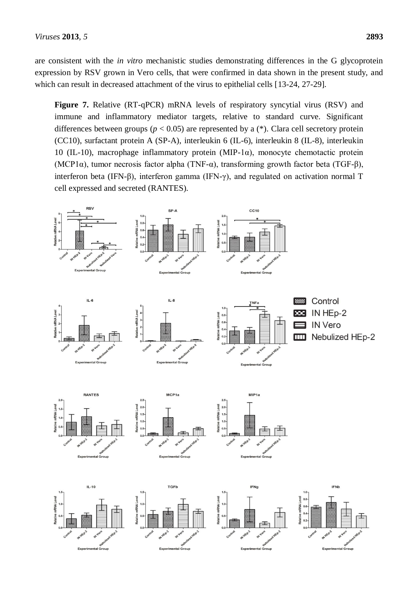are consistent with the *in vitro* mechanistic studies demonstrating differences in the G glycoprotein expression by RSV grown in Vero cells, that were confirmed in data shown in the present study, and which can result in decreased attachment of the virus to epithelial cells [13-24, 27-29].

**Figure 7.** Relative (RT-qPCR) mRNA levels of respiratory syncytial virus (RSV) and immune and inflammatory mediator targets, relative to standard curve. Significant differences between groups ( $p < 0.05$ ) are represented by a (\*). Clara cell secretory protein (CC10), surfactant protein A (SP-A), interleukin 6 (IL-6), interleukin 8 (IL-8), interleukin 10 (IL-10), macrophage inflammatory protein (MIP-1 $\alpha$ ), monocyte chemotactic protein (MCP1α), tumor necrosis factor alpha (TNF-α), transforming growth factor beta (TGF-β), interferon beta (IFN-β), interferon gamma (IFN-γ), and regulated on activation normal T cell expressed and secreted (RANTES).

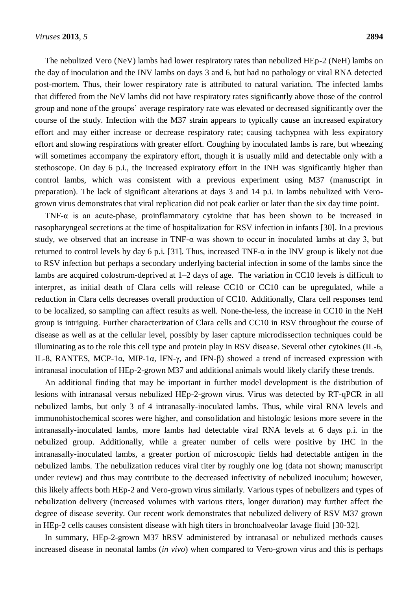The nebulized Vero (NeV) lambs had lower respiratory rates than nebulized HEp-2 (NeH) lambs on the day of inoculation and the INV lambs on days 3 and 6, but had no pathology or viral RNA detected post-mortem. Thus, their lower respiratory rate is attributed to natural variation. The infected lambs that differed from the NeV lambs did not have respiratory rates significantly above those of the control group and none of the groups' average respiratory rate was elevated or decreased significantly over the course of the study. Infection with the M37 strain appears to typically cause an increased expiratory effort and may either increase or decrease respiratory rate; causing tachypnea with less expiratory effort and slowing respirations with greater effort. Coughing by inoculated lambs is rare, but wheezing will sometimes accompany the expiratory effort, though it is usually mild and detectable only with a stethoscope. On day 6 p.i., the increased expiratory effort in the INH was significantly higher than control lambs, which was consistent with a previous experiment using M37 (manuscript in preparation). The lack of significant alterations at days 3 and 14 p.i. in lambs nebulized with Verogrown virus demonstrates that viral replication did not peak earlier or later than the six day time point.

TNF- $\alpha$  is an acute-phase, proinflammatory cytokine that has been shown to be increased in nasopharyngeal secretions at the time of hospitalization for RSV infection in infants [30]. In a previous study, we observed that an increase in TNF- $\alpha$  was shown to occur in inoculated lambs at day 3, but returned to control levels by day 6 p.i. [31]. Thus, increased TNF- $\alpha$  in the INV group is likely not due to RSV infection but perhaps a secondary underlying bacterial infection in some of the lambs since the lambs are acquired colostrum-deprived at 1–2 days of age. The variation in CC10 levels is difficult to interpret, as initial death of Clara cells will release CC10 or CC10 can be upregulated, while a reduction in Clara cells decreases overall production of CC10. Additionally, Clara cell responses tend to be localized, so sampling can affect results as well. None-the-less, the increase in CC10 in the NeH group is intriguing. Further characterization of Clara cells and CC10 in RSV throughout the course of disease as well as at the cellular level, possibly by laser capture microdissection techniques could be illuminating as to the role this cell type and protein play in RSV disease. Several other cytokines (IL-6, IL-8, RANTES, MCP-1α, MIP-1α, IFN-γ, and IFN-β) showed a trend of increased expression with intranasal inoculation of HEp-2-grown M37 and additional animals would likely clarify these trends.

An additional finding that may be important in further model development is the distribution of lesions with intranasal versus nebulized HEp-2-grown virus. Virus was detected by RT-qPCR in all nebulized lambs, but only 3 of 4 intranasally-inoculated lambs. Thus, while viral RNA levels and immunohistochemical scores were higher, and consolidation and histologic lesions more severe in the intranasally-inoculated lambs, more lambs had detectable viral RNA levels at 6 days p.i. in the nebulized group. Additionally, while a greater number of cells were positive by IHC in the intranasally-inoculated lambs, a greater portion of microscopic fields had detectable antigen in the nebulized lambs. The nebulization reduces viral titer by roughly one log (data not shown; manuscript under review) and thus may contribute to the decreased infectivity of nebulized inoculum; however, this likely affects both HEp-2 and Vero-grown virus similarly. Various types of nebulizers and types of nebulization delivery (increased volumes with various titers, longer duration) may further affect the degree of disease severity. Our recent work demonstrates that nebulized delivery of RSV M37 grown in HEp-2 cells causes consistent disease with high titers in bronchoalveolar lavage fluid [30-32].

In summary, HEp-2-grown M37 hRSV administered by intranasal or nebulized methods causes increased disease in neonatal lambs (*in vivo*) when compared to Vero-grown virus and this is perhaps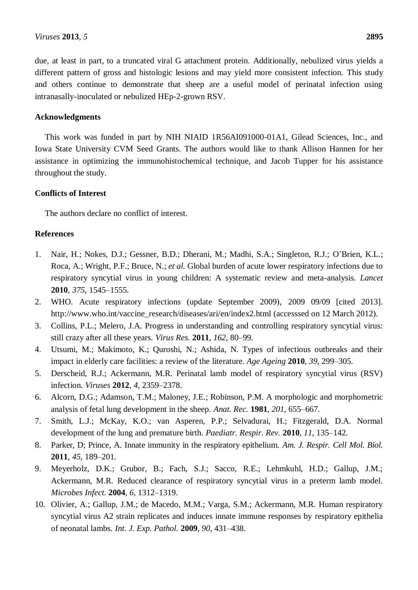due, at least in part, to a truncated viral G attachment protein. Additionally, nebulized virus yields a different pattern of gross and histologic lesions and may yield more consistent infection. This study and others continue to demonstrate that sheep are a useful model of perinatal infection using intranasally-inoculated or nebulized HEp-2-grown RSV.

## **Acknowledgments**

This work was funded in part by NIH NIAID 1R56AI091000-01A1, Gilead Sciences, Inc., and Iowa State University CVM Seed Grants. The authors would like to thank Allison Hannen for her assistance in optimizing the immunohistochemical technique, and Jacob Tupper for his assistance throughout the study.

## **Conflicts of Interest**

The authors declare no conflict of interest.

## **References**

- 1. Nair, H.; Nokes, D.J.; Gessner, B.D.; Dherani, M.; Madhi, S.A.; Singleton, R.J.; O'Brien, K.L.; Roca, A.; Wright, P.F.; Bruce, N.; *et al.* Global burden of acute lower respiratory infections due to respiratory syncytial virus in young children: A systematic review and meta-analysis. *Lancet* **2010**, *375*, 1545–1555.
- 2. WHO. Acute respiratory infections (update September 2009), 2009 09/09 [cited 2013]. [http://www.who.int/vaccine\\_research/diseases/ari/en/index2.html](http://www.who.int/vaccine_research/diseases/ari/en/index2.html) (accesssed on 12 March 2012).
- 3. Collins, P.L.; Melero, J.A. Progress in understanding and controlling respiratory syncytial virus: still crazy after all these years. *Virus Res.* **2011**, *162*, 80–99.
- 4. Utsumi, M.; Makimoto, K.; Quroshi, N.; Ashida, N. Types of infectious outbreaks and their impact in elderly care facilities: a review of the literature. *Age Ageing* **2010**, *39*, 299–305.
- 5. Derscheid, R.J.; Ackermann, M.R. Perinatal lamb model of respiratory syncytial virus (RSV) infection. *Viruses* **2012**, *4*, 2359–2378.
- 6. Alcorn, D.G.; Adamson, T.M.; Maloney, J.E.; Robinson, P.M. A morphologic and morphometric analysis of fetal lung development in the sheep. *Anat. Rec.* **1981**, *201*, 655–667.
- 7. Smith, L.J.; McKay, K.O.; van Asperen, P.P.; Selvadurai, H.; Fitzgerald, D.A. Normal development of the lung and premature birth. *Paediatr. Respir. Rev.* **2010**, *11*, 135–142.
- 8. Parker, D; Prince, A. Innate immunity in the respiratory epithelium. *Am. J. Respir. Cell Mol. Biol.* **2011**, *45*, 189–201.
- 9. Meyerholz, D.K.; Grubor, B.; Fach, S.J.; Sacco, R.E.; Lehmkuhl, H.D.; Gallup, J.M.; Ackermann, M.R. Reduced clearance of respiratory syncytial virus in a preterm lamb model. *Microbes Infect.* **2004**, *6*, 1312–1319.
- 10. Olivier, A.; Gallup, J.M.; de Macedo, M.M.; Varga, S.M.; Ackermann, M.R. Human respiratory syncytial virus A2 strain replicates and induces innate immune responses by respiratory epithelia of neonatal lambs. *Int. J. Exp. Pathol.* **2009**, *90*, 431–438.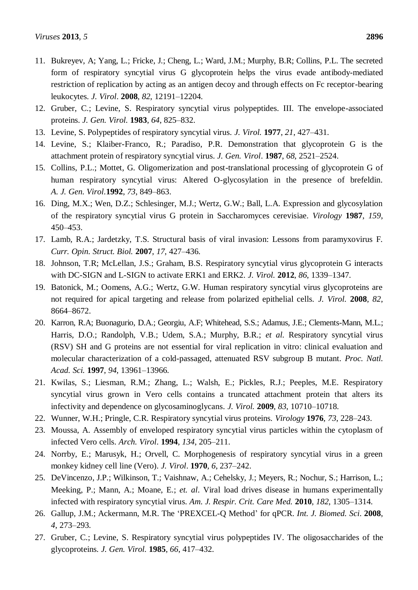- 11. Bukreyev, A; Yang, L.; Fricke, J.; Cheng, L.; Ward, J.M.; Murphy, B.R; Collins, P.L. The secreted form of respiratory syncytial virus G glycoprotein helps the virus evade antibody-mediated restriction of replication by acting as an antigen decoy and through effects on Fc receptor-bearing leukocytes. *J. Virol*. **2008**, *82*, 12191–12204.
- 12. Gruber, C.; Levine, S. Respiratory syncytial virus polypeptides. III. The envelope-associated proteins. *J. Gen. Virol.* **1983**, *64*, 825–832.
- 13. Levine, S. Polypeptides of respiratory syncytial virus. *J. Virol.* **1977**, *21*, 427–431.
- 14. Levine, S.; Klaiber-Franco, R.; Paradiso, P.R. Demonstration that glycoprotein G is the attachment protein of respiratory syncytial virus. *J. Gen. Virol*. **1987**, *68*, 2521–2524.
- 15. Collins, P.L.; Mottet, G. Oligomerization and post-translational processing of glycoprotein G of human respiratory syncytial virus: Altered O-glycosylation in the presence of brefeldin. *A. J. Gen. Virol.***1992**, *73*, 849–863.
- 16. Ding, M.X.; Wen, D.Z.; Schlesinger, M.J.; Wertz, G.W.; Ball, L.A. Expression and glycosylation of the respiratory syncytial virus G protein in Saccharomyces cerevisiae. *Virology* **1987**, *159*, 450–453.
- 17. Lamb, R.A.; Jardetzky, T.S. Structural basis of viral invasion: Lessons from paramyxovirus F*. Curr. Opin. Struct. Biol.* **2007**, *17*, 427–436.
- 18. Johnson, T.R; McLellan, J.S.; Graham, B.S. Respiratory syncytial virus glycoprotein G interacts with DC-SIGN and L-SIGN to activate ERK1 and ERK2. *J. Virol.* **2012**, *86*, 1339–1347.
- 19. Batonick, M.; Oomens, A.G.; Wertz, G.W. Human respiratory syncytial virus glycoproteins are not required for apical targeting and release from polarized epithelial cells. *J. Virol.* **2008**, *82*, 8664–8672.
- 20. Karron, R.A; Buonagurio, D.A.; Georgiu, A.F; Whitehead, S.S.; Adamus, J.E.; Clements-Mann, M.L.; Harris, D.O.; Randolph, V.B.; Udem, S.A.; Murphy, B.R.; *et al.* Respiratory syncytial virus (RSV) SH and G proteins are not essential for viral replication in vitro: clinical evaluation and molecular characterization of a cold-passaged, attenuated RSV subgroup B mutant. *Proc. Natl. Acad. Sci.* **1997**, *94*, 13961–13966.
- 21. Kwilas, S.; Liesman, R.M.; Zhang, L.; Walsh, E.; Pickles, R.J.; Peeples, M.E. Respiratory syncytial virus grown in Vero cells contains a truncated attachment protein that alters its infectivity and dependence on glycosaminoglycans*. J. Virol.* **2009**, *83*, 10710–10718.
- 22. Wunner, W.H.; Pringle, C.R. Respiratory syncytial virus proteins. *Virology* **1976**, *73*, 228–243.
- 23. Moussa, A. Assembly of enveloped respiratory syncytial virus particles within the cytoplasm of infected Vero cells. *Arch. Virol*. **1994**, *134*, 205–211.
- 24. Norrby, E.; Marusyk, H.; Orvell, C. Morphogenesis of respiratory syncytial virus in a green monkey kidney cell line (Vero). *J. Virol*. **1970**, *6*, 237–242.
- 25. DeVincenzo, J.P.; Wilkinson, T.; Vaishnaw, A.; Cehelsky, J.; Meyers, R.; Nochur, S.; Harrison, L.; Meeking, P.; Mann, A.; Moane, E.; *et. al*. Viral load drives disease in humans experimentally infected with respiratory syncytial virus. *Am. J. Respir. Crit. Care Med.* **2010**, *182*, 1305–1314.
- 26. Gallup, J.M.; Ackermann, M.R. The 'PREXCEL-Q Method' for qPCR. *Int. J. Biomed. Sci*. **2008**, *4*, 273–293.
- 27. Gruber, C.; Levine, S. Respiratory syncytial virus polypeptides IV. The oligosaccharides of the glycoproteins. *J. Gen. Virol.* **1985**, *66*, 417–432.